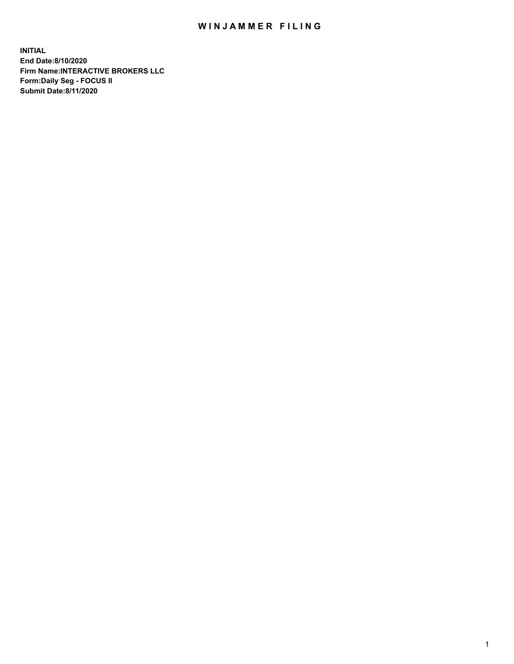## WIN JAMMER FILING

**INITIAL End Date:8/10/2020 Firm Name:INTERACTIVE BROKERS LLC Form:Daily Seg - FOCUS II Submit Date:8/11/2020**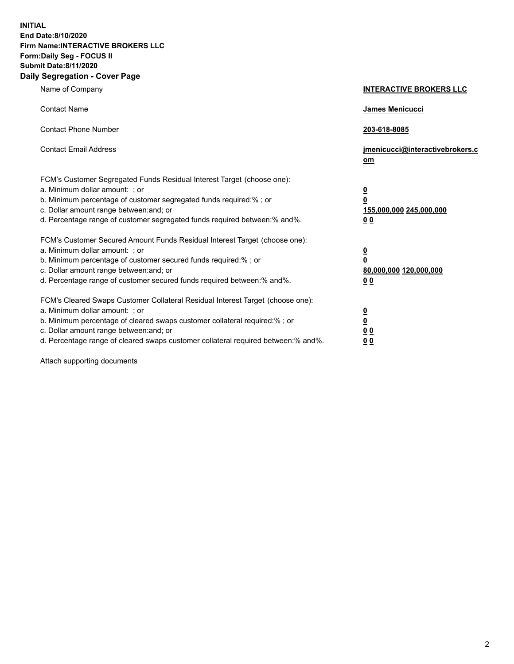**INITIAL End Date:8/10/2020 Firm Name:INTERACTIVE BROKERS LLC Form:Daily Seg - FOCUS II Submit Date:8/11/2020 Daily Segregation - Cover Page**

| Name of Company                                                                                                                                                                                                                                                                                                                | <b>INTERACTIVE BROKERS LLC</b>                                                                 |
|--------------------------------------------------------------------------------------------------------------------------------------------------------------------------------------------------------------------------------------------------------------------------------------------------------------------------------|------------------------------------------------------------------------------------------------|
| <b>Contact Name</b>                                                                                                                                                                                                                                                                                                            | James Menicucci                                                                                |
| <b>Contact Phone Number</b>                                                                                                                                                                                                                                                                                                    | 203-618-8085                                                                                   |
| <b>Contact Email Address</b>                                                                                                                                                                                                                                                                                                   | jmenicucci@interactivebrokers.c<br>om                                                          |
| FCM's Customer Segregated Funds Residual Interest Target (choose one):<br>a. Minimum dollar amount: ; or<br>b. Minimum percentage of customer segregated funds required:% ; or<br>c. Dollar amount range between: and; or<br>d. Percentage range of customer segregated funds required between:% and%.                         | $\overline{\mathbf{0}}$<br>$\overline{\mathbf{0}}$<br>155,000,000 245,000,000<br>00            |
| FCM's Customer Secured Amount Funds Residual Interest Target (choose one):<br>a. Minimum dollar amount: ; or<br>b. Minimum percentage of customer secured funds required:%; or<br>c. Dollar amount range between: and; or<br>d. Percentage range of customer secured funds required between:% and%.                            | $\overline{\mathbf{0}}$<br>$\overline{\mathbf{0}}$<br>80,000,000 120,000,000<br>0 <sub>0</sub> |
| FCM's Cleared Swaps Customer Collateral Residual Interest Target (choose one):<br>a. Minimum dollar amount: ; or<br>b. Minimum percentage of cleared swaps customer collateral required:% ; or<br>c. Dollar amount range between: and; or<br>d. Percentage range of cleared swaps customer collateral required between:% and%. | $\frac{0}{0}$<br>0 <sub>0</sub><br>0 <sub>0</sub>                                              |

Attach supporting documents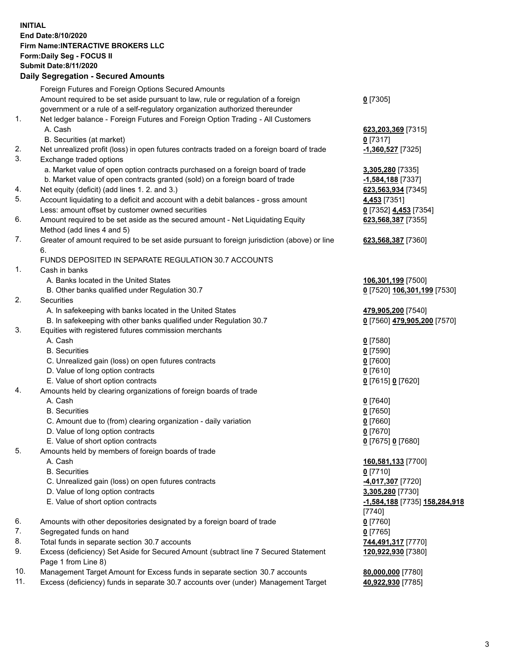## **INITIAL End Date:8/10/2020 Firm Name:INTERACTIVE BROKERS LLC Form:Daily Seg - FOCUS II Submit Date:8/11/2020 Daily Segregation - Secured Amounts**

|     | Daily Jegiegation - Jeculeu Alliounts                                                                   |                               |
|-----|---------------------------------------------------------------------------------------------------------|-------------------------------|
|     | Foreign Futures and Foreign Options Secured Amounts                                                     |                               |
|     | Amount required to be set aside pursuant to law, rule or regulation of a foreign                        | $0$ [7305]                    |
|     | government or a rule of a self-regulatory organization authorized thereunder                            |                               |
| 1.  | Net ledger balance - Foreign Futures and Foreign Option Trading - All Customers                         |                               |
|     | A. Cash                                                                                                 | 623,203,369 [7315]            |
|     | B. Securities (at market)                                                                               | $0$ [7317]                    |
| 2.  | Net unrealized profit (loss) in open futures contracts traded on a foreign board of trade               | -1,360,527 [7325]             |
| 3.  | Exchange traded options                                                                                 |                               |
|     | a. Market value of open option contracts purchased on a foreign board of trade                          | 3,305,280 [7335]              |
|     | b. Market value of open contracts granted (sold) on a foreign board of trade                            | -1,584,188 [7337]             |
| 4.  | Net equity (deficit) (add lines 1. 2. and 3.)                                                           | 623,563,934 [7345]            |
| 5.  | Account liquidating to a deficit and account with a debit balances - gross amount                       | 4,453 [7351]                  |
|     | Less: amount offset by customer owned securities                                                        | 0 [7352] 4,453 [7354]         |
| 6.  | Amount required to be set aside as the secured amount - Net Liquidating Equity                          | 623,568,387 [7355]            |
|     | Method (add lines 4 and 5)                                                                              |                               |
| 7.  | Greater of amount required to be set aside pursuant to foreign jurisdiction (above) or line             | 623,568,387 [7360]            |
|     | 6.                                                                                                      |                               |
|     | FUNDS DEPOSITED IN SEPARATE REGULATION 30.7 ACCOUNTS                                                    |                               |
| 1.  | Cash in banks                                                                                           |                               |
|     | A. Banks located in the United States                                                                   | 106,301,199 [7500]            |
|     | B. Other banks qualified under Regulation 30.7                                                          | 0 [7520] 106,301,199 [7530]   |
| 2.  | Securities                                                                                              |                               |
|     | A. In safekeeping with banks located in the United States                                               | 479,905,200 [7540]            |
|     | B. In safekeeping with other banks qualified under Regulation 30.7                                      | 0 [7560] 479,905,200 [7570]   |
| 3.  | Equities with registered futures commission merchants                                                   |                               |
|     | A. Cash                                                                                                 | $0$ [7580]                    |
|     | <b>B.</b> Securities                                                                                    | $0$ [7590]                    |
|     | C. Unrealized gain (loss) on open futures contracts                                                     | $0$ [7600]                    |
|     | D. Value of long option contracts                                                                       | $0$ [7610]                    |
| 4.  | E. Value of short option contracts<br>Amounts held by clearing organizations of foreign boards of trade | 0 [7615] 0 [7620]             |
|     | A. Cash                                                                                                 |                               |
|     | <b>B.</b> Securities                                                                                    | $0$ [7640]<br>$0$ [7650]      |
|     | C. Amount due to (from) clearing organization - daily variation                                         | $0$ [7660]                    |
|     | D. Value of long option contracts                                                                       | $0$ [7670]                    |
|     | E. Value of short option contracts                                                                      | 0 [7675] 0 [7680]             |
| 5.  | Amounts held by members of foreign boards of trade                                                      |                               |
|     | A. Cash                                                                                                 | 160,581,133 [7700]            |
|     | <b>B.</b> Securities                                                                                    | $0$ [7710]                    |
|     | C. Unrealized gain (loss) on open futures contracts                                                     | 4,017,307 [7720]              |
|     | D. Value of long option contracts                                                                       | 3,305,280 [7730]              |
|     | E. Value of short option contracts                                                                      | -1,584,188 [7735] 158,284,918 |
|     |                                                                                                         | [7740]                        |
| 6.  | Amounts with other depositories designated by a foreign board of trade                                  | $0$ [7760]                    |
| 7.  | Segregated funds on hand                                                                                | $0$ [7765]                    |
| 8.  | Total funds in separate section 30.7 accounts                                                           | 744,491,317 [7770]            |
| 9.  | Excess (deficiency) Set Aside for Secured Amount (subtract line 7 Secured Statement                     | 120,922,930 [7380]            |
|     | Page 1 from Line 8)                                                                                     |                               |
| 10. | Management Target Amount for Excess funds in separate section 30.7 accounts                             | 80,000,000 [7780]             |
| 11. | Excess (deficiency) funds in separate 30.7 accounts over (under) Management Target                      | 40,922,930 [7785]             |
|     |                                                                                                         |                               |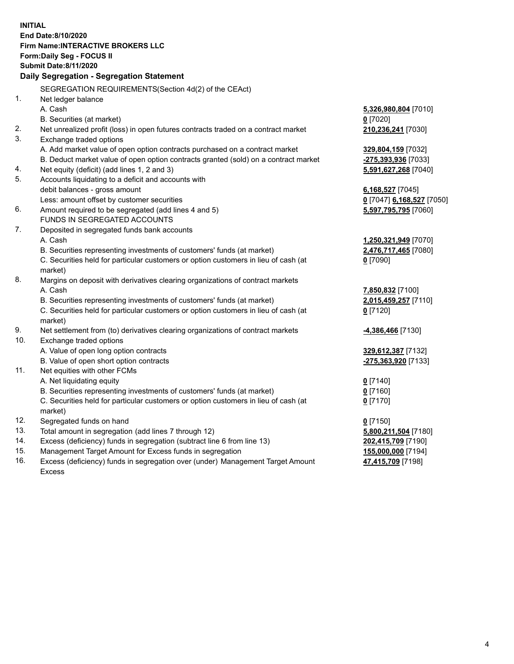**INITIAL End Date:8/10/2020 Firm Name:INTERACTIVE BROKERS LLC Form:Daily Seg - FOCUS II Submit Date:8/11/2020 Daily Segregation - Segregation Statement** SEGREGATION REQUIREMENTS(Section 4d(2) of the CEAct) 1. Net ledger balance A. Cash **5,326,980,804** [7010] B. Securities (at market) **0** [7020] 2. Net unrealized profit (loss) in open futures contracts traded on a contract market **210,236,241** [7030] 3. Exchange traded options A. Add market value of open option contracts purchased on a contract market **329,804,159** [7032] B. Deduct market value of open option contracts granted (sold) on a contract market **-275,393,936** [7033] 4. Net equity (deficit) (add lines 1, 2 and 3) **5,591,627,268** [7040] 5. Accounts liquidating to a deficit and accounts with debit balances - gross amount **6,168,527** [7045] Less: amount offset by customer securities **0** [7047] **6,168,527** [7050] 6. Amount required to be segregated (add lines 4 and 5) **5,597,795,795** [7060] FUNDS IN SEGREGATED ACCOUNTS 7. Deposited in segregated funds bank accounts A. Cash **1,250,321,949** [7070] B. Securities representing investments of customers' funds (at market) **2,476,717,465** [7080] C. Securities held for particular customers or option customers in lieu of cash (at market) **0** [7090] 8. Margins on deposit with derivatives clearing organizations of contract markets A. Cash **7,850,832** [7100] B. Securities representing investments of customers' funds (at market) **2,015,459,257** [7110] C. Securities held for particular customers or option customers in lieu of cash (at market) **0** [7120] 9. Net settlement from (to) derivatives clearing organizations of contract markets **-4,386,466** [7130] 10. Exchange traded options A. Value of open long option contracts **329,612,387** [7132] B. Value of open short option contracts **-275,363,920** [7133] 11. Net equities with other FCMs A. Net liquidating equity **0** [7140] B. Securities representing investments of customers' funds (at market) **0** [7160] C. Securities held for particular customers or option customers in lieu of cash (at market) **0** [7170] 12. Segregated funds on hand **0** [7150] 13. Total amount in segregation (add lines 7 through 12) **5,800,211,504** [7180] 14. Excess (deficiency) funds in segregation (subtract line 6 from line 13) **202,415,709** [7190] 15. Management Target Amount for Excess funds in segregation **155,000,000** [7194] 16. Excess (deficiency) funds in segregation over (under) Management Target Amount **47,415,709** [7198]

Excess